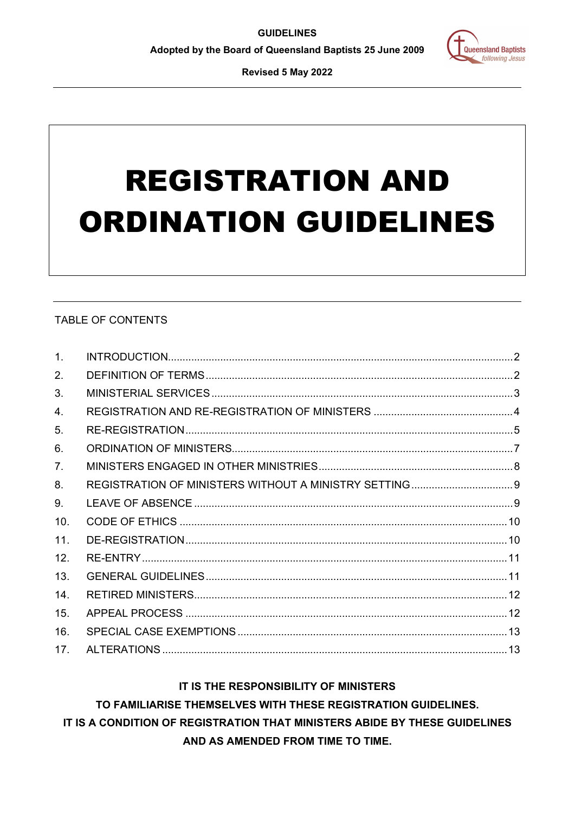

Revised 5 May 2022

# **REGISTRATION AND ORDINATION GUIDELINES**

# **TABLE OF CONTENTS**

| 1 <sub>1</sub> |  |
|----------------|--|
| 2.             |  |
| 3.             |  |
| $\mathbf{4}$ . |  |
| 5.             |  |
| 6.             |  |
| 7 <sub>1</sub> |  |
| 8.             |  |
| 9.             |  |
| 10.            |  |
| 11.            |  |
| 12.            |  |
| 13.            |  |
| 14.            |  |
| 15.            |  |
| 16.            |  |
| 17.            |  |

# IT IS THE RESPONSIBILITY OF MINISTERS

# TO FAMILIARISE THEMSELVES WITH THESE REGISTRATION GUIDELINES.

IT IS A CONDITION OF REGISTRATION THAT MINISTERS ABIDE BY THESE GUIDELINES

AND AS AMENDED FROM TIME TO TIME.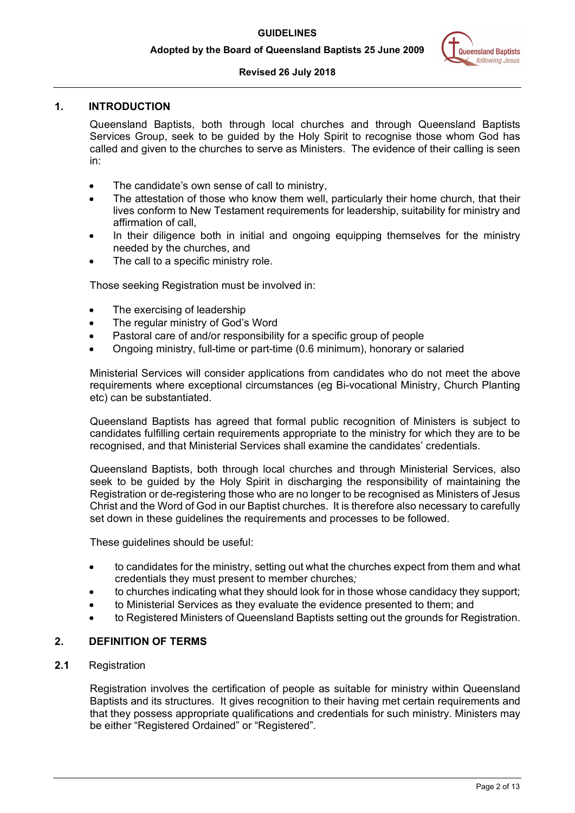## **Revised 26 July 2018**

# <span id="page-1-0"></span>**1. INTRODUCTION**

Queensland Baptists, both through local churches and through Queensland Baptists Services Group, seek to be guided by the Holy Spirit to recognise those whom God has called and given to the churches to serve as Ministers. The evidence of their calling is seen in:

- The candidate's own sense of call to ministry,
- The attestation of those who know them well, particularly their home church, that their lives conform to New Testament requirements for leadership, suitability for ministry and affirmation of call,
- In their diligence both in initial and ongoing equipping themselves for the ministry needed by the churches, and
- The call to a specific ministry role.

Those seeking Registration must be involved in:

- The exercising of leadership
- The regular ministry of God's Word
- Pastoral care of and/or responsibility for a specific group of people
- Ongoing ministry, full-time or part-time (0.6 minimum), honorary or salaried

Ministerial Services will consider applications from candidates who do not meet the above requirements where exceptional circumstances (eg Bi-vocational Ministry, Church Planting etc) can be substantiated.

Queensland Baptists has agreed that formal public recognition of Ministers is subject to candidates fulfilling certain requirements appropriate to the ministry for which they are to be recognised, and that Ministerial Services shall examine the candidates' credentials.

Queensland Baptists, both through local churches and through Ministerial Services, also seek to be guided by the Holy Spirit in discharging the responsibility of maintaining the Registration or de-registering those who are no longer to be recognised as Ministers of Jesus Christ and the Word of God in our Baptist churches. It is therefore also necessary to carefully set down in these guidelines the requirements and processes to be followed.

These guidelines should be useful:

- to candidates for the ministry, setting out what the churches expect from them and what credentials they must present to member churches*;*
- to churches indicating what they should look for in those whose candidacy they support;
- to Ministerial Services as they evaluate the evidence presented to them; and
- to Registered Ministers of Queensland Baptists setting out the grounds for Registration.

# <span id="page-1-1"></span>**2. DEFINITION OF TERMS**

# **2.1** Registration

Registration involves the certification of people as suitable for ministry within Queensland Baptists and its structures. It gives recognition to their having met certain requirements and that they possess appropriate qualifications and credentials for such ministry. Ministers may be either "Registered Ordained" or "Registered".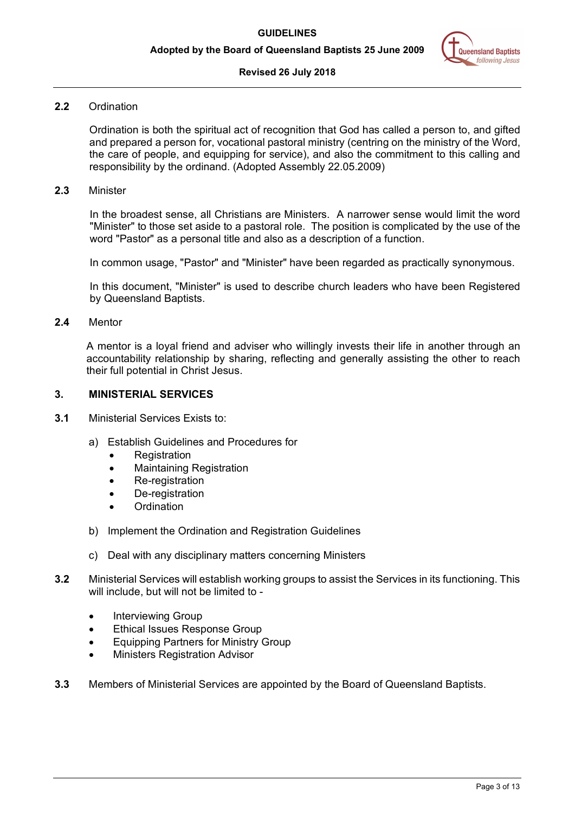

#### **Revised 26 July 2018**

## **2.2** Ordination

Ordination is both the spiritual act of recognition that God has called a person to, and gifted and prepared a person for, vocational pastoral ministry (centring on the ministry of the Word, the care of people, and equipping for service), and also the commitment to this calling and responsibility by the ordinand. (Adopted Assembly 22.05.2009)

## **2.3** Minister

In the broadest sense, all Christians are Ministers. A narrower sense would limit the word "Minister" to those set aside to a pastoral role. The position is complicated by the use of the word "Pastor" as a personal title and also as a description of a function.

In common usage, "Pastor" and "Minister" have been regarded as practically synonymous.

In this document, "Minister" is used to describe church leaders who have been Registered by Queensland Baptists.

## **2.4** Mentor

A mentor is a loyal friend and adviser who willingly invests their life in another through an accountability relationship by sharing, reflecting and generally assisting the other to reach their full potential in Christ Jesus.

#### <span id="page-2-0"></span>**3. MINISTERIAL SERVICES**

- **3.1** Ministerial Services Exists to:
	- a) Establish Guidelines and Procedures for
		- **Registration**
		- Maintaining Registration
		- Re-registration
		- De-registration
		- **Ordination**
	- b) Implement the Ordination and Registration Guidelines
	- c) Deal with any disciplinary matters concerning Ministers
- **3.2** Ministerial Services will establish working groups to assist the Services in its functioning. This will include, but will not be limited to -
	- Interviewing Group
	- Ethical Issues Response Group
	- Equipping Partners for Ministry Group
	- Ministers Registration Advisor
- **3.3** Members of Ministerial Services are appointed by the Board of Queensland Baptists.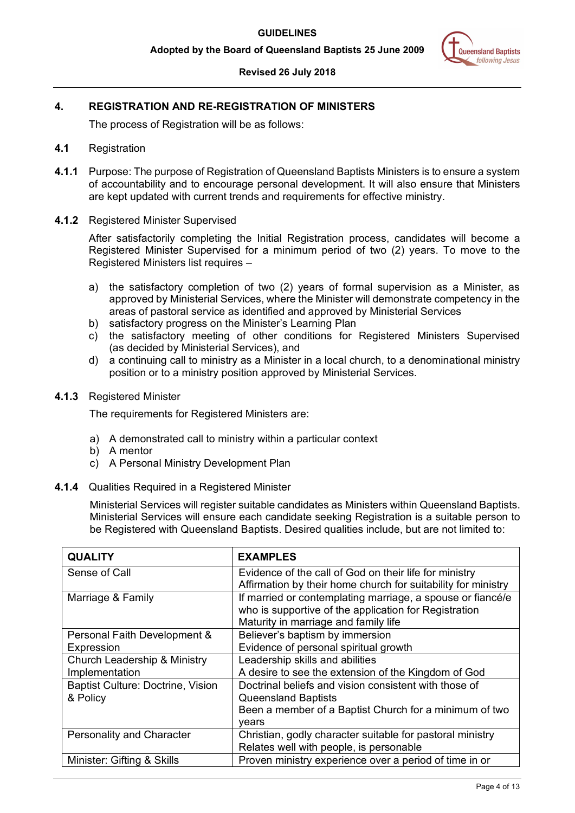# **Revised 26 July 2018**

# <span id="page-3-0"></span>**4. REGISTRATION AND RE-REGISTRATION OF MINISTERS**

The process of Registration will be as follows:

- **4.1** Registration
- **4.1.1** Purpose: The purpose of Registration of Queensland Baptists Ministers is to ensure a system of accountability and to encourage personal development. It will also ensure that Ministers are kept updated with current trends and requirements for effective ministry.
- **4.1.2** Registered Minister Supervised

After satisfactorily completing the Initial Registration process, candidates will become a Registered Minister Supervised for a minimum period of two (2) years. To move to the Registered Ministers list requires –

- a) the satisfactory completion of two (2) years of formal supervision as a Minister, as approved by Ministerial Services, where the Minister will demonstrate competency in the areas of pastoral service as identified and approved by Ministerial Services
- b) satisfactory progress on the Minister's Learning Plan
- c) the satisfactory meeting of other conditions for Registered Ministers Supervised (as decided by Ministerial Services), and
- d) a continuing call to ministry as a Minister in a local church, to a denominational ministry position or to a ministry position approved by Ministerial Services.

## **4.1.3** Registered Minister

The requirements for Registered Ministers are:

- a) A demonstrated call to ministry within a particular context
- b) A mentor
- c) A Personal Ministry Development Plan
- **4.1.4** Qualities Required in a Registered Minister

Ministerial Services will register suitable candidates as Ministers within Queensland Baptists. Ministerial Services will ensure each candidate seeking Registration is a suitable person to be Registered with Queensland Baptists. Desired qualities include, but are not limited to:

| <b>QUALITY</b>                    | <b>EXAMPLES</b>                                               |  |
|-----------------------------------|---------------------------------------------------------------|--|
| Sense of Call                     | Evidence of the call of God on their life for ministry        |  |
|                                   | Affirmation by their home church for suitability for ministry |  |
| Marriage & Family                 | If married or contemplating marriage, a spouse or fiance/e    |  |
|                                   | who is supportive of the application for Registration         |  |
|                                   | Maturity in marriage and family life                          |  |
| Personal Faith Development &      | Believer's baptism by immersion                               |  |
| Expression                        | Evidence of personal spiritual growth                         |  |
| Church Leadership & Ministry      | Leadership skills and abilities                               |  |
| Implementation                    | A desire to see the extension of the Kingdom of God           |  |
| Baptist Culture: Doctrine, Vision | Doctrinal beliefs and vision consistent with those of         |  |
| & Policy                          | <b>Queensland Baptists</b>                                    |  |
|                                   | Been a member of a Baptist Church for a minimum of two        |  |
|                                   | vears                                                         |  |
| <b>Personality and Character</b>  | Christian, godly character suitable for pastoral ministry     |  |
|                                   | Relates well with people, is personable                       |  |
| Minister: Gifting & Skills        | Proven ministry experience over a period of time in or        |  |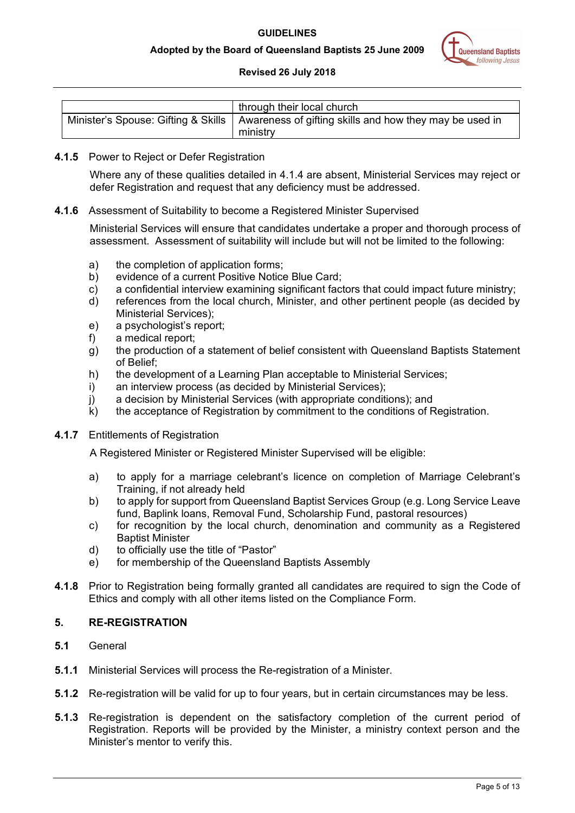

# **Revised 26 July 2018**

| through their local church                                                                                |
|-----------------------------------------------------------------------------------------------------------|
| Minister's Spouse: Gifting & Skills   Awareness of gifting skills and how they may be used in<br>ministry |

# **4.1.5** Power to Reject or Defer Registration

Where any of these qualities detailed in 4.1.4 are absent, Ministerial Services may reject or defer Registration and request that any deficiency must be addressed.

# **4.1.6** Assessment of Suitability to become a Registered Minister Supervised

Ministerial Services will ensure that candidates undertake a proper and thorough process of assessment. Assessment of suitability will include but will not be limited to the following:

- a) the completion of application forms;
- b) evidence of a current Positive Notice Blue Card;
- c) a confidential interview examining significant factors that could impact future ministry;
- d) references from the local church, Minister, and other pertinent people (as decided by Ministerial Services);
- e) a psychologist's report;
- f) a medical report;
- g) the production of a statement of belief consistent with Queensland Baptists Statement of Belief;
- h) the development of a Learning Plan acceptable to Ministerial Services;<br>i) an interview process (as decided by Ministerial Services);
- an interview process (as decided by Ministerial Services);
- j) a decision by Ministerial Services (with appropriate conditions); and
- k) the acceptance of Registration by commitment to the conditions of Registration.
- **4.1.7** Entitlements of Registration

A Registered Minister or Registered Minister Supervised will be eligible:

- a) to apply for a marriage celebrant's licence on completion of Marriage Celebrant's Training, if not already held
- b) to apply for support from Queensland Baptist Services Group (e.g. Long Service Leave fund, Baplink loans, Removal Fund, Scholarship Fund, pastoral resources)
- c) for recognition by the local church, denomination and community as a Registered Baptist Minister
- d) to officially use the title of "Pastor"
- e) for membership of the Queensland Baptists Assembly
- **4.1.8** Prior to Registration being formally granted all candidates are required to sign the Code of Ethics and comply with all other items listed on the Compliance Form.

# <span id="page-4-0"></span>**5. RE-REGISTRATION**

- **5.1** General
- **5.1.1** Ministerial Services will process the Re-registration of a Minister.
- **5.1.2** Re-registration will be valid for up to four years, but in certain circumstances may be less.
- **5.1.3** Re-registration is dependent on the satisfactory completion of the current period of Registration. Reports will be provided by the Minister, a ministry context person and the Minister's mentor to verify this.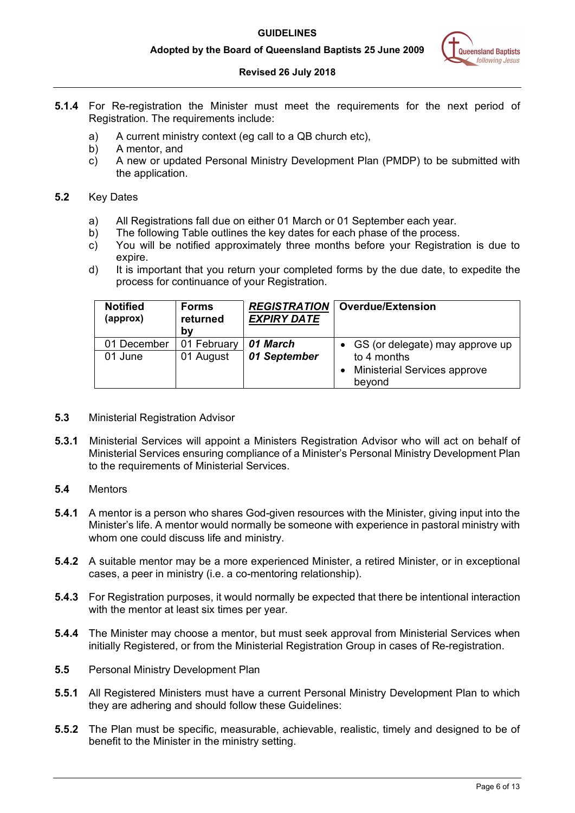#### **Adopted by the Board of Queensland Baptists 25 June 2009**

## **Revised 26 July 2018**

- **5.1.4** For Re-registration the Minister must meet the requirements for the next period of Registration. The requirements include:
	- a) A current ministry context (eg call to a QB church etc),
	- b) A mentor, and
	- c) A new or updated Personal Ministry Development Plan (PMDP) to be submitted with the application.

# **5.2** Key Dates

- a) All Registrations fall due on either 01 March or 01 September each year.
- b) The following Table outlines the key dates for each phase of the process.
- c) You will be notified approximately three months before your Registration is due to expire.
- d) It is important that you return your completed forms by the due date, to expedite the process for continuance of your Registration.

| <b>Notified</b><br>(approx) | <b>Forms</b><br>returned<br>bv | <b>REGISTRATION</b><br><b>EXPIRY DATE</b> | <b>Overdue/Extension</b>                      |
|-----------------------------|--------------------------------|-------------------------------------------|-----------------------------------------------|
| 01 December                 | 01 February                    | 01 March                                  | • GS (or delegate) may approve up             |
| 01 June                     | 01 August                      | 01 September                              | to 4 months                                   |
|                             |                                |                                           | <b>Ministerial Services approve</b><br>beyond |

- **5.3** Ministerial Registration Advisor
- **5.3.1** Ministerial Services will appoint a Ministers Registration Advisor who will act on behalf of Ministerial Services ensuring compliance of a Minister's Personal Ministry Development Plan to the requirements of Ministerial Services.

# **5.4** Mentors

- **5.4.1** A mentor is a person who shares God-given resources with the Minister, giving input into the Minister's life. A mentor would normally be someone with experience in pastoral ministry with whom one could discuss life and ministry.
- **5.4.2** A suitable mentor may be a more experienced Minister, a retired Minister, or in exceptional cases, a peer in ministry (i.e. a co-mentoring relationship).
- **5.4.3** For Registration purposes, it would normally be expected that there be intentional interaction with the mentor at least six times per year.
- **5.4.4** The Minister may choose a mentor, but must seek approval from Ministerial Services when initially Registered, or from the Ministerial Registration Group in cases of Re-registration.
- **5.5** Personal Ministry Development Plan
- **5.5.1** All Registered Ministers must have a current Personal Ministry Development Plan to which they are adhering and should follow these Guidelines:
- **5.5.2** The Plan must be specific, measurable, achievable, realistic, timely and designed to be of benefit to the Minister in the ministry setting.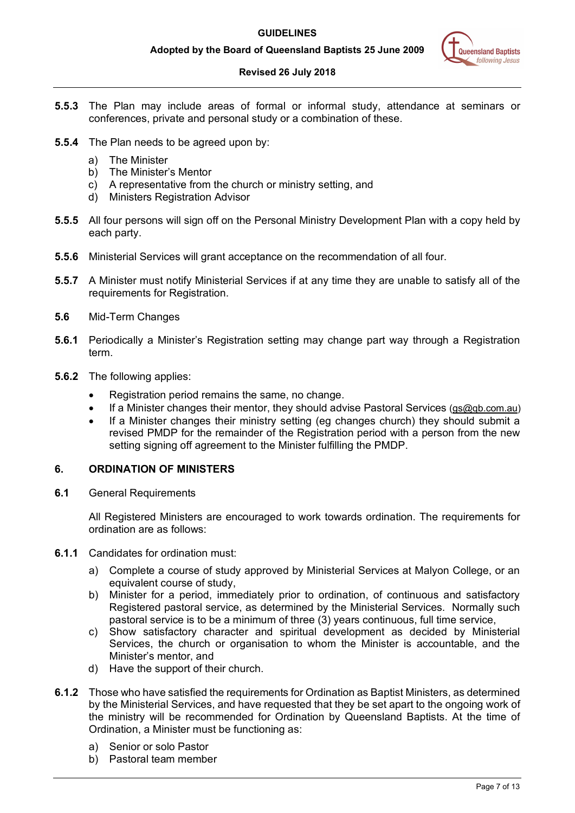

# **Revised 26 July 2018**

- **5.5.3** The Plan may include areas of formal or informal study, attendance at seminars or conferences, private and personal study or a combination of these.
- **5.5.4** The Plan needs to be agreed upon by:
	- a) The Minister
	- b) The Minister's Mentor
	- c) A representative from the church or ministry setting, and
	- d) Ministers Registration Advisor
- **5.5.5** All four persons will sign off on the Personal Ministry Development Plan with a copy held by each party.
- **5.5.6** Ministerial Services will grant acceptance on the recommendation of all four.
- **5.5.7** A Minister must notify Ministerial Services if at any time they are unable to satisfy all of the requirements for Registration.
- **5.6** Mid-Term Changes
- **5.6.1** Periodically a Minister's Registration setting may change part way through a Registration term.
- **5.6.2** The following applies:
	- Registration period remains the same, no change.
	- If a Minister changes their mentor, they should advise Pastoral Services [\(gs@qb.com.au\)](mailto:gs@qb.com.au)
	- If a Minister changes their ministry setting (eg changes church) they should submit a revised PMDP for the remainder of the Registration period with a person from the new setting signing off agreement to the Minister fulfilling the PMDP.

# <span id="page-6-0"></span>**6. ORDINATION OF MINISTERS**

**6.1** General Requirements

All Registered Ministers are encouraged to work towards ordination. The requirements for ordination are as follows:

- **6.1.1** Candidates for ordination must:
	- a) Complete a course of study approved by Ministerial Services at Malyon College, or an equivalent course of study,
	- b) Minister for a period, immediately prior to ordination, of continuous and satisfactory Registered pastoral service, as determined by the Ministerial Services. Normally such pastoral service is to be a minimum of three (3) years continuous, full time service,
	- c) Show satisfactory character and spiritual development as decided by Ministerial Services, the church or organisation to whom the Minister is accountable, and the Minister's mentor, and
	- d) Have the support of their church.
- **6.1.2** Those who have satisfied the requirements for Ordination as Baptist Ministers, as determined by the Ministerial Services, and have requested that they be set apart to the ongoing work of the ministry will be recommended for Ordination by Queensland Baptists. At the time of Ordination, a Minister must be functioning as:
	- a) Senior or solo Pastor
	- b) Pastoral team member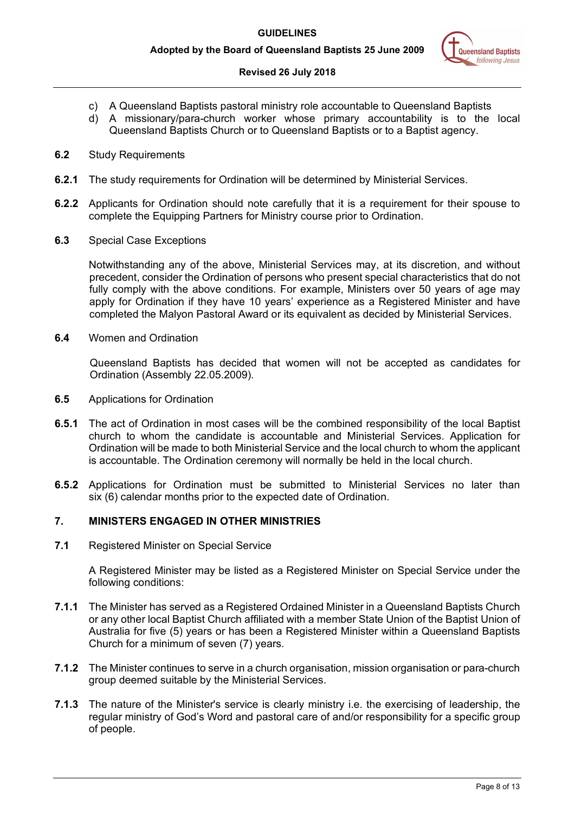# **Revised 26 July 2018**

- c) A Queensland Baptists pastoral ministry role accountable to Queensland Baptists
- d) A missionary/para-church worker whose primary accountability is to the local Queensland Baptists Church or to Queensland Baptists or to a Baptist agency.
- **6.2** Study Requirements
- **6.2.1** The study requirements for Ordination will be determined by Ministerial Services.
- **6.2.2** Applicants for Ordination should note carefully that it is a requirement for their spouse to complete the Equipping Partners for Ministry course prior to Ordination.
- **6.3** Special Case Exceptions

Notwithstanding any of the above, Ministerial Services may, at its discretion, and without precedent, consider the Ordination of persons who present special characteristics that do not fully comply with the above conditions. For example, Ministers over 50 years of age may apply for Ordination if they have 10 years' experience as a Registered Minister and have completed the Malyon Pastoral Award or its equivalent as decided by Ministerial Services.

**6.4** Women and Ordination

Queensland Baptists has decided that women will not be accepted as candidates for Ordination (Assembly 22.05.2009).

- **6.5** Applications for Ordination
- **6.5.1** The act of Ordination in most cases will be the combined responsibility of the local Baptist church to whom the candidate is accountable and Ministerial Services. Application for Ordination will be made to both Ministerial Service and the local church to whom the applicant is accountable. The Ordination ceremony will normally be held in the local church.
- **6.5.2** Applications for Ordination must be submitted to Ministerial Services no later than six (6) calendar months prior to the expected date of Ordination.

# <span id="page-7-0"></span>**7. MINISTERS ENGAGED IN OTHER MINISTRIES**

**7.1** Registered Minister on Special Service

A Registered Minister may be listed as a Registered Minister on Special Service under the following conditions:

- **7.1.1** The Minister has served as a Registered Ordained Minister in a Queensland Baptists Church or any other local Baptist Church affiliated with a member State Union of the Baptist Union of Australia for five (5) years or has been a Registered Minister within a Queensland Baptists Church for a minimum of seven (7) years.
- **7.1.2** The Minister continues to serve in a church organisation, mission organisation or para-church group deemed suitable by the Ministerial Services.
- **7.1.3** The nature of the Minister's service is clearly ministry i.e. the exercising of leadership, the regular ministry of God's Word and pastoral care of and/or responsibility for a specific group of people.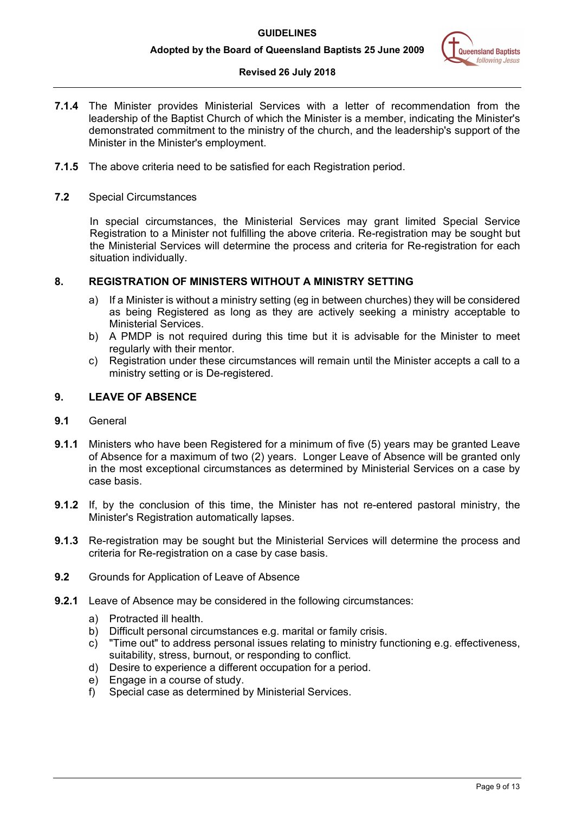# **Revised 26 July 2018**

- **7.1.4** The Minister provides Ministerial Services with a letter of recommendation from the leadership of the Baptist Church of which the Minister is a member, indicating the Minister's demonstrated commitment to the ministry of the church, and the leadership's support of the Minister in the Minister's employment.
- **7.1.5** The above criteria need to be satisfied for each Registration period.
- **7.2** Special Circumstances

In special circumstances, the Ministerial Services may grant limited Special Service Registration to a Minister not fulfilling the above criteria. Re-registration may be sought but the Ministerial Services will determine the process and criteria for Re-registration for each situation individually.

## <span id="page-8-0"></span>**8. REGISTRATION OF MINISTERS WITHOUT A MINISTRY SETTING**

- a) If a Minister is without a ministry setting (eg in between churches) they will be considered as being Registered as long as they are actively seeking a ministry acceptable to Ministerial Services.
- b) A PMDP is not required during this time but it is advisable for the Minister to meet regularly with their mentor.
- c) Registration under these circumstances will remain until the Minister accepts a call to a ministry setting or is De-registered.

# <span id="page-8-1"></span>**9. LEAVE OF ABSENCE**

- **9.1** General
- **9.1.1** Ministers who have been Registered for a minimum of five (5) years may be granted Leave of Absence for a maximum of two (2) years. Longer Leave of Absence will be granted only in the most exceptional circumstances as determined by Ministerial Services on a case by case basis.
- **9.1.2** If, by the conclusion of this time, the Minister has not re-entered pastoral ministry, the Minister's Registration automatically lapses.
- **9.1.3** Re-registration may be sought but the Ministerial Services will determine the process and criteria for Re-registration on a case by case basis.
- **9.2** Grounds for Application of Leave of Absence
- **9.2.1** Leave of Absence may be considered in the following circumstances:
	- a) Protracted ill health.
	- b) Difficult personal circumstances e.g. marital or family crisis.
	- c) "Time out" to address personal issues relating to ministry functioning e.g. effectiveness, suitability, stress, burnout, or responding to conflict.
	- d) Desire to experience a different occupation for a period.
	- e) Engage in a course of study.
	- f) Special case as determined by Ministerial Services.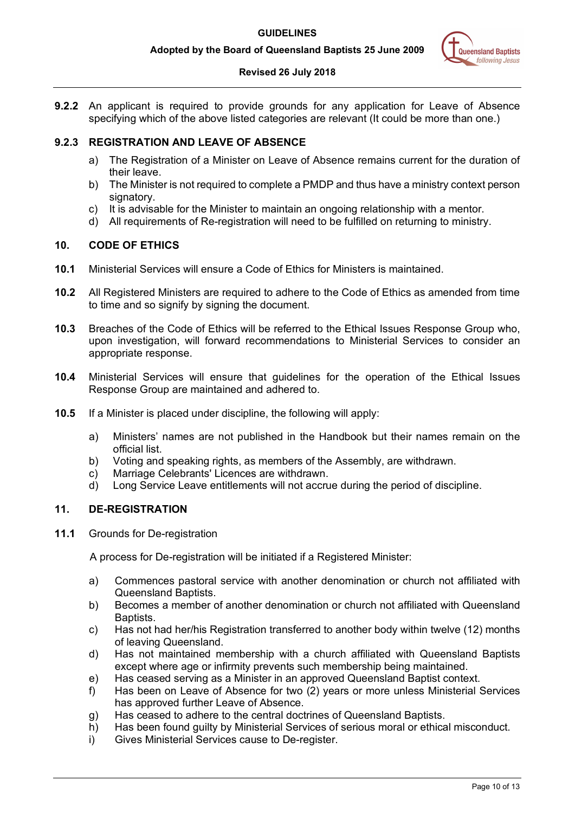

## **Revised 26 July 2018**

**9.2.2** An applicant is required to provide grounds for any application for Leave of Absence specifying which of the above listed categories are relevant (It could be more than one.)

# **9.2.3 REGISTRATION AND LEAVE OF ABSENCE**

- a) The Registration of a Minister on Leave of Absence remains current for the duration of their leave.
- b) The Minister is not required to complete a PMDP and thus have a ministry context person signatory.
- c) It is advisable for the Minister to maintain an ongoing relationship with a mentor.
- d) All requirements of Re-registration will need to be fulfilled on returning to ministry.

# <span id="page-9-0"></span>**10. CODE OF ETHICS**

- **10.1** Ministerial Services will ensure a Code of Ethics for Ministers is maintained.
- **10.2** All Registered Ministers are required to adhere to the Code of Ethics as amended from time to time and so signify by signing the document.
- **10.3** Breaches of the Code of Ethics will be referred to the Ethical Issues Response Group who, upon investigation, will forward recommendations to Ministerial Services to consider an appropriate response.
- **10.4** Ministerial Services will ensure that guidelines for the operation of the Ethical Issues Response Group are maintained and adhered to.
- **10.5** If a Minister is placed under discipline, the following will apply:
	- a) Ministers' names are not published in the Handbook but their names remain on the official list.
	- b) Voting and speaking rights, as members of the Assembly, are withdrawn.
	- c) Marriage Celebrants' Licences are withdrawn.
	- d) Long Service Leave entitlements will not accrue during the period of discipline.

# <span id="page-9-1"></span>**11. DE-REGISTRATION**

**11.1** Grounds for De-registration

A process for De-registration will be initiated if a Registered Minister:

- a) Commences pastoral service with another denomination or church not affiliated with Queensland Baptists.
- b) Becomes a member of another denomination or church not affiliated with Queensland Baptists.
- c) Has not had her/his Registration transferred to another body within twelve (12) months of leaving Queensland.
- d) Has not maintained membership with a church affiliated with Queensland Baptists except where age or infirmity prevents such membership being maintained.
- e) Has ceased serving as a Minister in an approved Queensland Baptist context.
- f) Has been on Leave of Absence for two (2) years or more unless Ministerial Services has approved further Leave of Absence.
- g) Has ceased to adhere to the central doctrines of Queensland Baptists.
- h) Has been found guilty by Ministerial Services of serious moral or ethical misconduct.
- i) Gives Ministerial Services cause to De-register.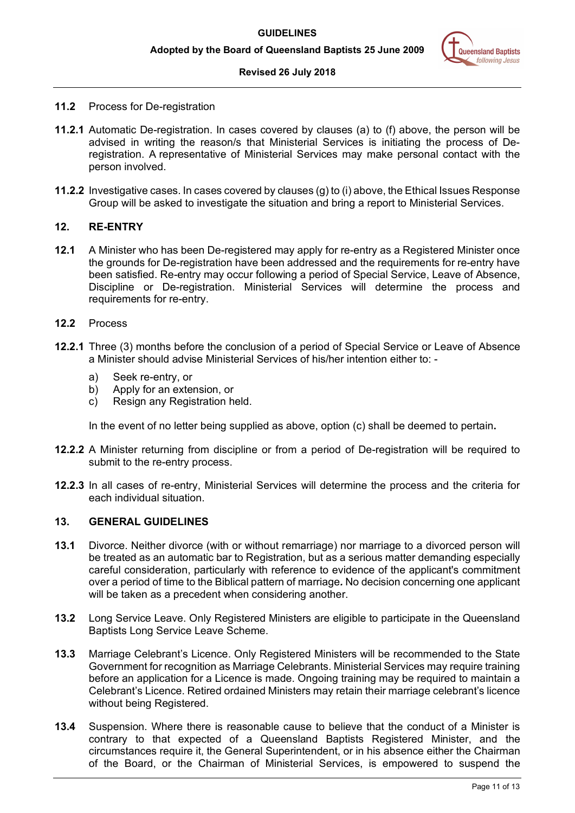

#### **Revised 26 July 2018**

- **11.2** Process for De-registration
- **11.2.1** Automatic De-registration. In cases covered by clauses (a) to (f) above, the person will be advised in writing the reason/s that Ministerial Services is initiating the process of Deregistration. A representative of Ministerial Services may make personal contact with the person involved.
- **11.2.2** Investigative cases. In cases covered by clauses (g) to (i) above, the Ethical Issues Response Group will be asked to investigate the situation and bring a report to Ministerial Services.

#### <span id="page-10-0"></span>**12. RE-ENTRY**

- **12.1** A Minister who has been De-registered may apply for re-entry as a Registered Minister once the grounds for De-registration have been addressed and the requirements for re-entry have been satisfied. Re-entry may occur following a period of Special Service, Leave of Absence, Discipline or De-registration. Ministerial Services will determine the process and requirements for re-entry.
- **12.2** Process
- **12.2.1** Three (3) months before the conclusion of a period of Special Service or Leave of Absence a Minister should advise Ministerial Services of his/her intention either to:
	- a) Seek re-entry, or
	- b) Apply for an extension, or
	- c) Resign any Registration held.

In the event of no letter being supplied as above, option (c) shall be deemed to pertain**.**

- **12.2.2** A Minister returning from discipline or from a period of De-registration will be required to submit to the re-entry process.
- **12.2.3** In all cases of re-entry, Ministerial Services will determine the process and the criteria for each individual situation.

#### <span id="page-10-1"></span>**13. GENERAL GUIDELINES**

- **13.1** Divorce. Neither divorce (with or without remarriage) nor marriage to a divorced person will be treated as an automatic bar to Registration, but as a serious matter demanding especially careful consideration, particularly with reference to evidence of the applicant's commitment over a period of time to the Biblical pattern of marriage*.* No decision concerning one applicant will be taken as a precedent when considering another.
- **13.2** Long Service Leave. Only Registered Ministers are eligible to participate in the Queensland Baptists Long Service Leave Scheme.
- **13.3** Marriage Celebrant's Licence. Only Registered Ministers will be recommended to the State Government for recognition as Marriage Celebrants. Ministerial Services may require training before an application for a Licence is made. Ongoing training may be required to maintain a Celebrant's Licence. Retired ordained Ministers may retain their marriage celebrant's licence without being Registered.
- **13.4** Suspension. Where there is reasonable cause to believe that the conduct of a Minister is contrary to that expected of a Queensland Baptists Registered Minister, and the circumstances require it, the General Superintendent, or in his absence either the Chairman of the Board, or the Chairman of Ministerial Services, is empowered to suspend the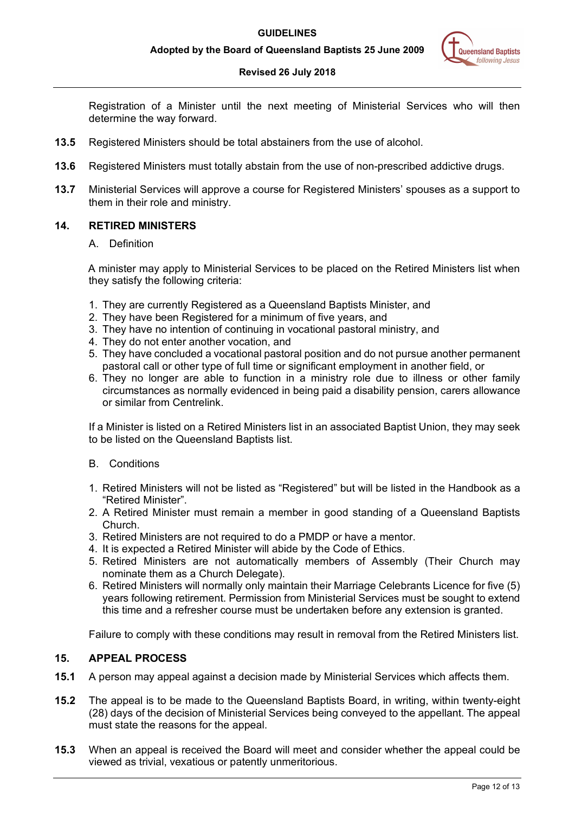#### **Revised 26 July 2018**

Registration of a Minister until the next meeting of Ministerial Services who will then determine the way forward.

- **13.5** Registered Ministers should be total abstainers from the use of alcohol.
- **13.6** Registered Ministers must totally abstain from the use of non-prescribed addictive drugs.
- **13.7** Ministerial Services will approve a course for Registered Ministers' spouses as a support to them in their role and ministry.

## <span id="page-11-0"></span>**14. RETIRED MINISTERS**

#### A. Definition

A minister may apply to Ministerial Services to be placed on the Retired Ministers list when they satisfy the following criteria:

- 1. They are currently Registered as a Queensland Baptists Minister, and
- 2. They have been Registered for a minimum of five years, and
- 3. They have no intention of continuing in vocational pastoral ministry, and
- 4. They do not enter another vocation, and
- 5. They have concluded a vocational pastoral position and do not pursue another permanent pastoral call or other type of full time or significant employment in another field, or
- 6. They no longer are able to function in a ministry role due to illness or other family circumstances as normally evidenced in being paid a disability pension, carers allowance or similar from Centrelink.

If a Minister is listed on a Retired Ministers list in an associated Baptist Union, they may seek to be listed on the Queensland Baptists list.

#### B. Conditions

- 1. Retired Ministers will not be listed as "Registered" but will be listed in the Handbook as a "Retired Minister".
- 2. A Retired Minister must remain a member in good standing of a Queensland Baptists Church.
- 3. Retired Ministers are not required to do a PMDP or have a mentor.
- 4. It is expected a Retired Minister will abide by the Code of Ethics.
- 5. Retired Ministers are not automatically members of Assembly (Their Church may nominate them as a Church Delegate).
- 6. Retired Ministers will normally only maintain their Marriage Celebrants Licence for five (5) years following retirement. Permission from Ministerial Services must be sought to extend this time and a refresher course must be undertaken before any extension is granted.

Failure to comply with these conditions may result in removal from the Retired Ministers list.

# <span id="page-11-1"></span>**15. APPEAL PROCESS**

- **15.1** A person may appeal against a decision made by Ministerial Services which affects them.
- **15.2** The appeal is to be made to the Queensland Baptists Board, in writing, within twenty-eight (28) days of the decision of Ministerial Services being conveyed to the appellant. The appeal must state the reasons for the appeal.
- **15.3** When an appeal is received the Board will meet and consider whether the appeal could be viewed as trivial, vexatious or patently unmeritorious.